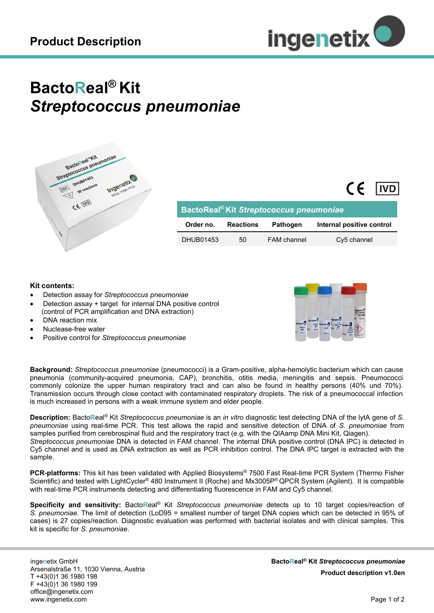

## **BactoReal® Kit** *Streptococcus pneumoniae*



| BactoReal <sup>®</sup> Kit Streptococcus pneumoniae |                  |                    |                           |
|-----------------------------------------------------|------------------|--------------------|---------------------------|
| Order no.                                           | <b>Reactions</b> | <b>Pathogen</b>    | Internal positive control |
| DHUB01453                                           | 50               | <b>FAM</b> channel | Cy5 channel               |

## **Kit contents:**

- Detection assay for *Streptococcus pneumoniae*
- Detection assay + target for internal DNA positive control (control of PCR amplification and DNA extraction)
- DNA reaction mix
- Nuclease-free water
- Positive control for *Streptococcus pneumoniae*



 $\epsilon$ 

l IVD

**Background:** *Streptococcus pneumoniae* (pneumococci) is a Gram-positive, alpha-hemolytic bacterium which can cause pneumonia (community-acquired pneumonia, CAP), bronchitis, otitis media, meningitis and sepsis. Pneumococci commonly colonize the upper human respiratory tract and can also be found in healthy persons (40% und 70%). Transmission occurs through close contact with contaminated respiratory droplets. The risk of a pneumococcal infection is much increased in persons with a weak immune system and elder people.

**Description:** Bacto**R**eal® Kit *Streptococcus pneumoniae* is an *in vitro* diagnostic test detecting DNA of the lytA gene of *S. pneumoniae* using real-time PCR. This test allows the rapid and sensitive detection of DNA of *S. pneumoniae* from samples purified from cerebrospinal fluid and the respiratory tract (e.g. with the QIAamp DNA Mini Kit, Qiagen). *Streptococcus pneumoniae* DNA is detected in FAM channel. The internal DNA positive control (DNA IPC) is detected in Cy5 channel and is used as DNA extraction as well as PCR inhibition control. The DNA IPC target is extracted with the sample.

**PCR-platforms:** This kit has been validated with Applied Biosystems® 7500 Fast Real-time PCR System (Thermo Fisher Scientific) and tested with LightCycler® 480 Instrument II (Roche) and Mx3005P® QPCR System (Agilent). It is compatible with real-time PCR instruments detecting and differentiating fluorescence in FAM and Cy5 channel.

**Specificity and sensitivity:** Bacto**R**eal® Kit *Streptococcus pneumoniae* detects up to 10 target copies/reaction of *S. pneumoniae.* The limit of detection (LoD95 = smallest number of target DNA copies which can be detected in 95% of cases) is 27 copies/reaction. Diagnostic evaluation was performed with bacterial isolates and with clinical samples. This kit is specific for *S. pneumoniae*.

inge**n**etix GmbH Arsenalstraße 11, 1030 Vienna, Austria T +43(0)1 36 1980 198 F +43(0)1 36 1980 199 office@ingenetix.com www.ingenetix.com

**BactoReal® Kit** *Streptococcus pneumoniae* **Product description v1.0en**